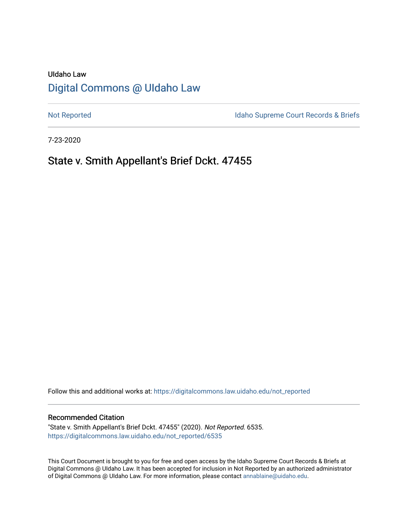# UIdaho Law [Digital Commons @ UIdaho Law](https://digitalcommons.law.uidaho.edu/)

[Not Reported](https://digitalcommons.law.uidaho.edu/not_reported) **Idaho Supreme Court Records & Briefs** 

7-23-2020

# State v. Smith Appellant's Brief Dckt. 47455

Follow this and additional works at: [https://digitalcommons.law.uidaho.edu/not\\_reported](https://digitalcommons.law.uidaho.edu/not_reported?utm_source=digitalcommons.law.uidaho.edu%2Fnot_reported%2F6535&utm_medium=PDF&utm_campaign=PDFCoverPages) 

#### Recommended Citation

"State v. Smith Appellant's Brief Dckt. 47455" (2020). Not Reported. 6535. [https://digitalcommons.law.uidaho.edu/not\\_reported/6535](https://digitalcommons.law.uidaho.edu/not_reported/6535?utm_source=digitalcommons.law.uidaho.edu%2Fnot_reported%2F6535&utm_medium=PDF&utm_campaign=PDFCoverPages)

This Court Document is brought to you for free and open access by the Idaho Supreme Court Records & Briefs at Digital Commons @ UIdaho Law. It has been accepted for inclusion in Not Reported by an authorized administrator of Digital Commons @ UIdaho Law. For more information, please contact [annablaine@uidaho.edu](mailto:annablaine@uidaho.edu).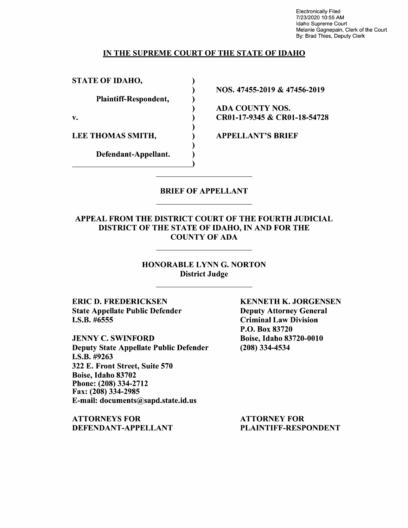Electronically Filed 7/23/2020 10:55 AM Idaho Supreme Court Melanie Gagnepain, Clerk of the Court By: Brad Thies, Deputy Clerk

### IN THE SUPREME COURT OF THE STATE OF IDAHO

) ) ) ) ) ) ) ) )

STATE OF IDAHO,

Plaintiff-Respondent,

v.

LEE THOMAS SMITH,

Defendant-Appellant. Defendant-Appellant. NOS. 47455-2019 & 47456-2019

ADA COUNTY NOS. CR0l-17-9345 & CR0l-18-54728

APPELLANT'S BRIEF

## BRIEF OF APPELLANT

### APPEAL FROM THE DISTRICT COURT OF THE FOURTH JUDICIAL DISTRICT OF THE STATE OF IDAHO, IN AND FOR THE COUNTY OF ADA

HONORABLE LYNN G. NORTON District Judge

ERIC D. FREDERICKSEN State Appellate Public Defender I.S.B. #6555

JENNY C. SWINFORD Deputy State Appellate Public Defender **I.S.B.** #9263 322 E. Front Street, Suite 570 Boise, Idaho 83702 Phone:(208)334-2712 Fax: (208) 334-2985 E-mail: documents@sapd.state.id.us

**ATTORNEYS FOR DEFENDANT-APPELLANT**  **KENNETH K. JORGENSEN**  Deputy Attorney General Criminal Law Division P.O. Box 83720 Boise, Idaho 83720-0010 (208) 334-4534

ATTORNEY FOR PLAINTIFF-RESPONDENT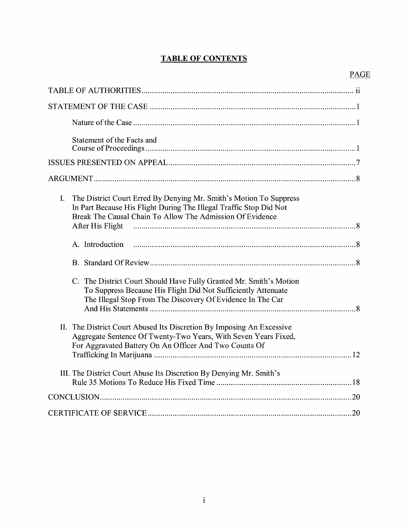## **TABLE OF CONTENTS**

| Statement of the Facts and                                                                                                                                                                                                                                                                        |
|---------------------------------------------------------------------------------------------------------------------------------------------------------------------------------------------------------------------------------------------------------------------------------------------------|
|                                                                                                                                                                                                                                                                                                   |
|                                                                                                                                                                                                                                                                                                   |
| The District Court Erred By Denying Mr. Smith's Motion To Suppress<br>$I_{\cdot}$<br>In Part Because His Flight During The Illegal Traffic Stop Did Not<br>Break The Causal Chain To Allow The Admission Of Evidence<br>After His Flight music communication and the Strategy of After His Flight |
| A. Introduction                                                                                                                                                                                                                                                                                   |
|                                                                                                                                                                                                                                                                                                   |
| C. The District Court Should Have Fully Granted Mr. Smith's Motion<br>To Suppress Because His Flight Did Not Sufficiently Attenuate<br>The Illegal Stop From The Discovery Of Evidence In The Car                                                                                                 |
| II. The District Court Abused Its Discretion By Imposing An Excessive<br>Aggregate Sentence Of Twenty-Two Years, With Seven Years Fixed,<br>For Aggravated Battery On An Officer And Two Counts Of                                                                                                |
| III. The District Court Abuse Its Discretion By Denying Mr. Smith's                                                                                                                                                                                                                               |
|                                                                                                                                                                                                                                                                                                   |
|                                                                                                                                                                                                                                                                                                   |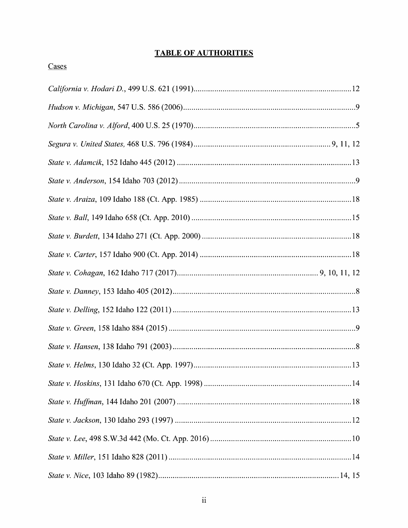## **TABLE OF AUTHORITIES**

## Cases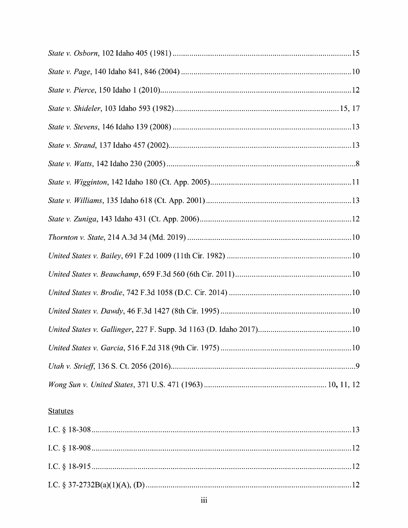# **Statutes**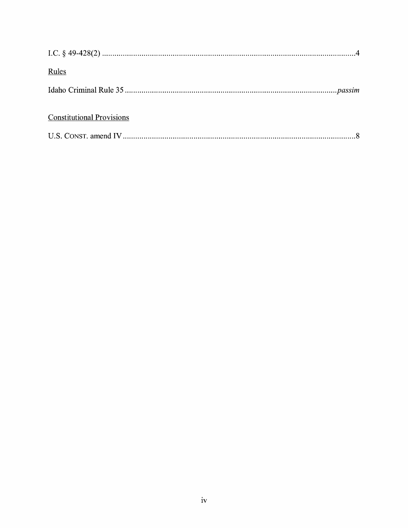| Rules                            |  |
|----------------------------------|--|
|                                  |  |
| <b>Constitutional Provisions</b> |  |
|                                  |  |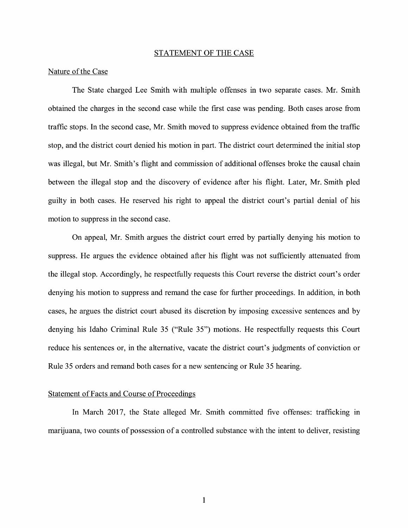#### STATEMENT OF THE CASE

#### Nature of the Case

The State charged Lee Smith with multiple offenses in two separate cases. Mr. Smith obtained the charges in the second case while the first case was pending. Both cases arose from traffic stops. In the second case, Mr. Smith moved to suppress evidence obtained from the traffic stop, and the district court denied his motion in part. The district court determined the initial stop was illegal, but Mr. Smith's flight and commission of additional offenses broke the causal chain between the illegal stop and the discovery of evidence after his flight. Later, Mr. Smith pled guilty in both cases. He reserved his right to appeal the district court's partial denial of his motion to suppress in the second case.

On appeal, Mr. Smith argues the district court erred by partially denying his motion to suppress. He argues the evidence obtained after his flight was not sufficiently attenuated from the illegal stop. Accordingly, he respectfully requests this Court reverse the district court's order denying his motion to suppress and remand the case for further proceedings. In addition, in both cases, he argues the district court abused its discretion by imposing excessive sentences and by denying his Idaho Criminal Rule 35 ("Rule 35") motions. He respectfully requests this Court reduce his sentences or, in the alternative, vacate the district court's judgments of conviction or Rule 35 orders and remand both cases for a new sentencing or Rule 35 hearing.

### Statement of Facts and Course of Proceedings

In March 2017, the State alleged Mr. Smith committed five offenses: trafficking in marijuana, two counts of possession of a controlled substance with the intent to deliver, resisting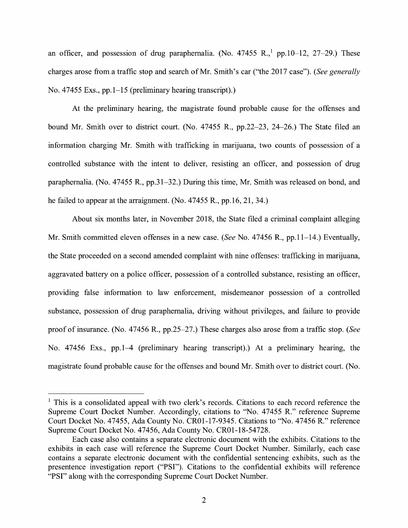an officer, and possession of drug paraphernalia. (No.  $47455$  R.,  $1$  pp.10-12, 27-29.) These charges arose from a traffic stop and search of Mr. Smith's car ("the 2017 case"). *(See generally*  No. 47455 Exs., pp.1-15 (preliminary hearing transcript).)

At the preliminary hearing, the magistrate found probable cause for the offenses and bound Mr. Smith over to district court. (No. 47455 R., pp.22-23, 24-26.) The State filed an information charging Mr. Smith with trafficking in marijuana, two counts of possession of a controlled substance with the intent to deliver, resisting an officer, and possession of drug paraphernalia. (No. 47455 R., pp.31-32.) During this time, Mr. Smith was released on bond, and he failed to appear at the arraignment. (No. 47455 R., pp.16, 21, 34.)

About six months later, in November 2018, the State filed a criminal complaint alleging Mr. Smith committed eleven offenses in a new case. *(See* No. 47456 R., pp.11-14.) Eventually, the State proceeded on a second amended complaint with nine offenses: trafficking in marijuana, aggravated battery on a police officer, possession of a controlled substance, resisting an officer, providing false information to law enforcement, misdemeanor possession of a controlled substance, possession of drug paraphernalia, driving without privileges, and failure to provide proof of insurance. (No. 47456 R., pp.25-27.) These charges also arose from a traffic stop. *(See*  No. 47456 Exs., pp.1-4 (preliminary hearing transcript).) At a preliminary hearing, the magistrate found probable cause for the offenses and bound Mr. Smith over to district court. (No.

 $<sup>1</sup>$  This is a consolidated appeal with two clerk's records. Citations to each record reference the</sup> Supreme Court Docket Number. Accordingly, citations to "No. 47455 R." reference Supreme Court Docket No. 47455, Ada County No. CR0l-17-9345. Citations to "No. 47456 R." reference Supreme Court Docket No. 47456, Ada County No. CR0l-18-54728.

Each case also contains a separate electronic document with the exhibits. Citations to the exhibits in each case will reference the Supreme Court Docket Number. Similarly, each case contains a separate electronic document with the confidential sentencing exhibits, such as the presentence investigation report ("PSI"). Citations to the confidential exhibits will reference "PSI" along with the corresponding Supreme Court Docket Number.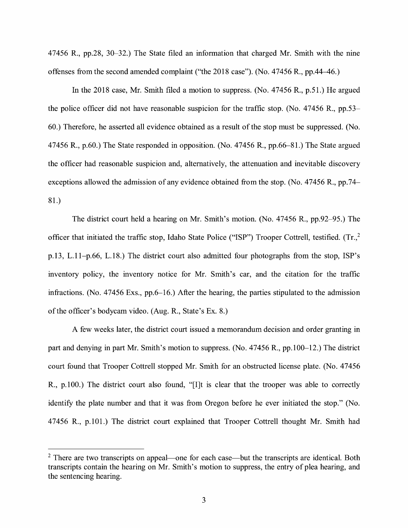47456 R., pp.28, 30-32.) The State filed an information that charged Mr. Smith with the nine offenses from the second amended complaint ("the 2018 case"). (No. 47456 R., pp.44–46.)

In the 2018 case, Mr. Smith filed a motion to suppress. (No. 47456 R., p.51.) He argued the police officer did not have reasonable suspicion for the traffic stop. (No. 47456 R., pp.53- 60.) Therefore, he asserted all evidence obtained as a result of the stop must be suppressed. (No. 47456 R., p.60.) The State responded in opposition. (No. 47456 R., pp.66-81.) The State argued the officer had reasonable suspicion and, alternatively, the attenuation and inevitable discovery exceptions allowed the admission of any evidence obtained from the stop. (No. 47456 R., pp.74- 81.)

The district court held a hearing on Mr. Smith's motion. (No. 47456 R., pp.92-95.) The officer that initiated the traffic stop, Idaho State Police ("ISP") Trooper Cottrell, testified. (Tr.,2 p.13, L.11-p.66, L.18.) The district court also admitted four photographs from the stop, ISP's inventory policy, the inventory notice for Mr. Smith's car, and the citation for the traffic infractions. (No. 47456 Exs., pp.6-16.) After the hearing, the parties stipulated to the admission of the officer's bodycam video. (Aug. **R.,** State's Ex. 8.)

A few weeks later, the district court issued a memorandum decision and order granting in part and denying in part Mr. Smith's motion to suppress. (No. 47456 R., pp.100-12.) The district court found that Trooper Cottrell stopped Mr. Smith for an obstructed license plate. (No. 47456 R., p.100.) The district court also found, "[I]t is clear that the trooper was able to correctly identify the plate number and that it was from Oregon before he ever initiated the stop." (No. 47456 R., p.101.) The district court explained that Trooper Cottrell thought Mr. Smith had

 $2$  There are two transcripts on appeal—one for each case—but the transcripts are identical. Both transcripts contain the hearing on Mr. Smith's motion to suppress, the entry of plea hearing, and the sentencing hearing.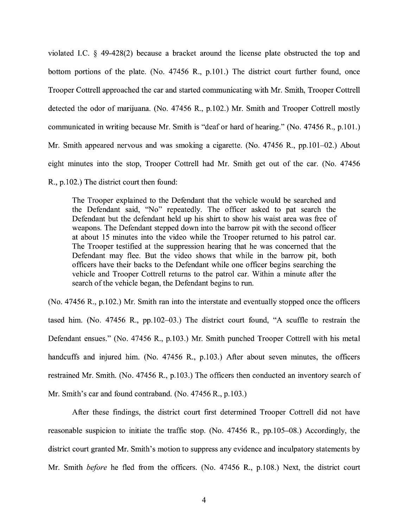violated LC. § 49-428(2) because a bracket around the license plate obstructed the top and bottom portions of the plate. (No. 47456 R., p.101.) The district court further found, once Trooper Cottrell approached the car and started communicating with Mr. Smith, Trooper Cottrell detected the odor of marijuana. (No. 47456 R., p.102.) Mr. Smith and Trooper Cottrell mostly communicated in writing because Mr. Smith is "deaf or hard of hearing." (No. 47456 R., p.101.) Mr. Smith appeared nervous and was smoking a cigarette. (No. 47456 R., pp.101–02.) About eight minutes into the stop, Trooper Cottrell had Mr. Smith get out of the car. (No. 47456 R., p.102.) The district court then found:

The Trooper explained to the Defendant that the vehicle would be searched and the Defendant said, ''No" repeatedly. The officer asked to pat search the Defendant but the defendant held up his shirt to show his waist area was free of weapons. The Defendant stepped down into the barrow pit with the second officer at about 15 minutes into the video while the Trooper returned to his patrol car. The Trooper testified at the suppression hearing that he was concerned that the Defendant may flee. But the video shows that while in the barrow pit, both officers have their backs to the Defendant while one officer begins searching the vehicle and Trooper Cottrell returns to the patrol car. Within a minute after the search of the vehicle began, the Defendant begins to run.

(No. 47456 R., p.102.) Mr. Smith ran into the interstate and eventually stopped once the officers tased him. (No. 47456 R., pp.102-03.) The district court found, "A scuffle to restrain the Defendant ensues." (No. 47456 R., p.103.) Mr. Smith punched Trooper Cottrell with his metal handcuffs and injured him. (No. 47456 R., p.103.) After about seven minutes, the officers restrained Mr. Smith. (No. 47456 R., p.103.) The officers then conducted an inventory search of Mr. Smith's car and found contraband. (No. 47456 R., p.103.)

After these findings, the district court first determined Trooper Cottrell did not have reasonable suspicion to initiate the traffic stop. (No. 47456 R., pp.105-08.) Accordingly, the district court granted Mr. Smith's motion to suppress any evidence and inculpatory statements by Mr. Smith *before* he fled from the officers. (No. 47456 R., p.108.) Next, the district court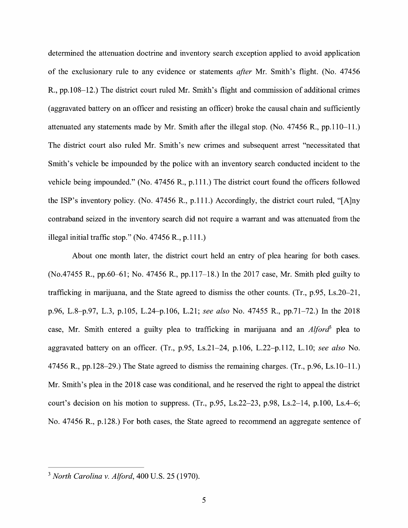determined the attenuation doctrine and inventory search exception applied to avoid application of the exclusionary rule to any evidence or statements *after* Mr. Smith's flight. (No. 47456 R., pp.108-12.) The district court ruled Mr. Smith's flight and commission of additional crimes (aggravated battery on an officer and resisting an officer) broke the causal chain and sufficiently attenuated any statements made by Mr. Smith after the illegal stop. (No. 47456 R., pp.110-11.) The district court also ruled Mr. Smith's new crimes and subsequent arrest "necessitated that Smith's vehicle be impounded by the police with an inventory search conducted incident to the vehicle being impounded." (No. 47456 R., p.111.) The district court found the officers followed the ISP's inventory policy. (No. 47456 R., p.111.) Accordingly, the district court ruled, "[A]ny contraband seized in the inventory search did not require a warrant and was attenuated from the illegal initial traffic stop." (No. 47456 R., p.111.)

About one month later, the district court held an entry of plea hearing for both cases. (No.47455 R., pp.60-61; No. 47456 R., pp.117-18.) In the 2017 case, Mr. Smith pied guilty to trafficking in marijuana, and the State agreed to dismiss the other counts. (Tr., p.95, Ls.20-21, p.96, L.8-p.97, L.3, p.105, L.24-p.106, L.21; *see also* No. 47455 R., pp.71-72.) In the 2018 case, Mr. Smith entered a guilty plea to trafficking in marijuana and an *Alford3* plea to aggravated battery on an officer. (Tr., p.95, Ls.21-24, p.106, L.22-p.112, L.10; *see also* No. 47456 R., pp.128-29.) The State agreed to dismiss the remaining charges. (Tr., p.96, Ls.10-11.) Mr. Smith's plea in the 2018 case was conditional, and he reserved the right to appeal the district court's decision on his motion to suppress. (Tr., p.95, Ls.22–23, p.98, Ls.2–14, p.100, Ls.4–6; No. 47456 R., p.128.) For both cases, the State agreed to recommend an aggregate sentence of

<sup>3</sup>*North Carolina v. Alford,* 400 U.S. 25 (1970).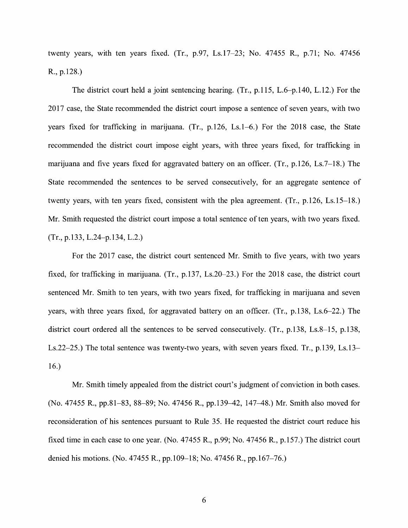twenty years, with ten years fixed. (Tr., p.97, Ls.17-23; No. 47455 R., p.71; No. 47456 R., p.128.)

The district court held a joint sentencing hearing. (Tr., p.115, L.6-p.140, L.12.) For the 2017 case, the State recommended the district court impose a sentence of seven years, with two years fixed for trafficking in marijuana. (Tr., p.126, Ls.1-6.) For the 2018 case, the State recommended the district court impose eight years, with three years fixed, for trafficking in marijuana and five years fixed for aggravated battery on an officer. (Tr., p.126, Ls.7-18.) The State recommended the sentences to be served consecutively, for an aggregate sentence of twenty years, with ten years fixed, consistent with the plea agreement. (Tr., p.126, Ls.15-18.) Mr. Smith requested the district court impose a total sentence of ten years, with two years fixed. (Tr., p.133, L.24-p.134, L.2.)

For the 2017 case, the district court sentenced Mr. Smith to five years, with two years fixed, for trafficking in marijuana. (Tr., p.137, Ls.20-23.) For the 2018 case, the district court sentenced Mr. Smith to ten years, with two years fixed, for trafficking in marijuana and seven years, with three years fixed, for aggravated battery on an officer. (Tr., p.138, Ls.6-22.) The district court ordered all the sentences to be served consecutively. (Tr., p.138, Ls.8-15, p.138, Ls.22-25.) The total sentence was twenty-two years, with seven years fixed. Tr., p.139, Ls.13- 16.)

Mr. Smith timely appealed from the district court's judgment of conviction in both cases. (No. 47455 R., pp.81-83, 88-89; No. 47456 R., pp.139-42, 147-48.) Mr. Smith also moved for reconsideration of his sentences pursuant to Rule 35. He requested the district court reduce his fixed time in each case to one year. (No. 47455 R., p.99; No. 47456 R., p.157.) The district court denied his motions. (No. 47455 R., pp.109-18; No. 47456 R., pp.167-76.)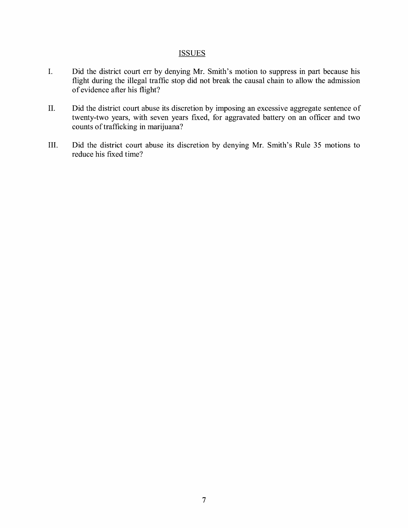## **ISSUES**

- I. Did the district court err by denying Mr. Smith's motion to suppress in part because his flight during the illegal traffic stop did not break the causal chain to allow the admission of evidence after his flight?
- II. Did the district court abuse its discretion by imposing an excessive aggregate sentence of twenty-two years, with seven years fixed, for aggravated battery on an officer and two counts of trafficking in marijuana?
- III. Did the district court abuse its discretion by denying Mr. Smith's Rule 35 motions to reduce his fixed time?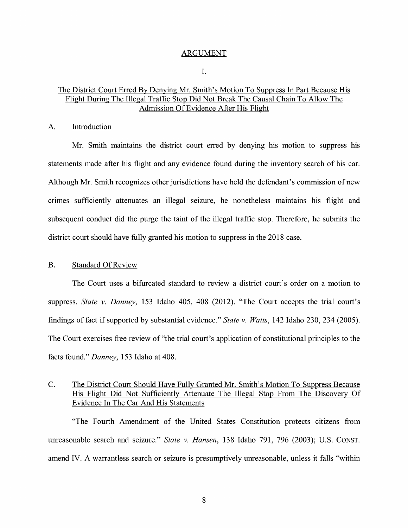#### ARGUMENT

I.

## The District Court Erred By Denying Mr. Smith's Motion To Suppress In Part Because His Flight During The Illegal Traffic Stop Did Not Break The Causal Chain To Allow The Admission Of Evidence After His Flight

#### A. Introduction

Mr. Smith maintains the district court erred by denying his motion to suppress his statements made after his flight and any evidence found during the inventory search of his car. Although Mr. Smith recognizes other jurisdictions have held the defendant's commission of new crimes sufficiently attenuates an illegal seizure, he nonetheless maintains his flight and subsequent conduct did the purge the taint of the illegal traffic stop. Therefore, he submits the district court should have fully granted his motion to suppress in the 2018 case.

#### B. Standard Of Review

The Court uses a bifurcated standard to review a district court's order on a motion to suppress. *State v. Danney,* 153 Idaho 405, 408 (2012). "The Court accepts the trial court's findings of fact if supported by substantial evidence." *State v. Watts,* 142 Idaho 230, 234 (2005). The Court exercises free review of "the trial court's application of constitutional principles to the facts found." *Danney,* 153 Idaho at 408.

## C. The District Court Should Have Fully Granted Mr. Smith's Motion To Suppress Because His Flight Did Not Sufficiently Attenuate The Illegal Stop From The Discovery Of Evidence In The Car And His Statements

"The Fourth Amendment of the United States Constitution protects citizens from unreasonable search and seizure." *State v. Hansen,* 138 Idaho 791, 796 (2003); U.S. CONST. amend IV. A warrantless search or seizure is presumptively unreasonable, unless it falls ''within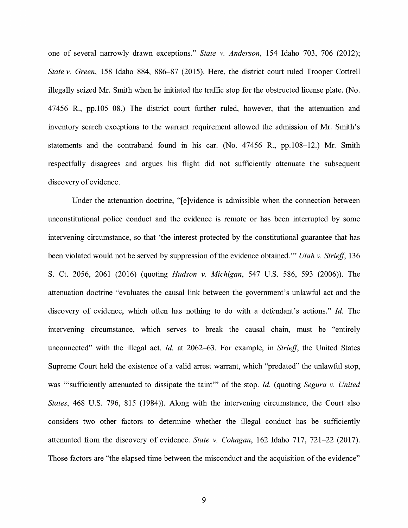one of several narrowly drawn exceptions." *State v. Anderson,* 154 Idaho 703, 706 (2012); *State v. Green,* 158 Idaho 884, 886-87 (2015). Here, the district court ruled Trooper Cottrell illegally seized Mr. Smith when he initiated the traffic stop for the obstructed license plate. (No. 47456 R., pp.105-08.) The district court further ruled, however, that the attenuation and inventory search exceptions to the warrant requirement allowed the admission of Mr. Smith's statements and the contraband found in his car. (No. 47456 R., pp.108-12.) Mr. Smith respectfully disagrees and argues his flight did not sufficiently attenuate the subsequent discovery of evidence.

Under the attenuation doctrine, "[e]vidence is admissible when the connection between unconstitutional police conduct and the evidence is remote or has been interrupted by some intervening circumstance, so that 'the interest protected by the constitutional guarantee that has been violated would not be served by suppression of the evidence obtained."' *Utah v. Striejf,* 136 S. Ct. 2056, 2061 (2016) (quoting *Hudson v. Michigan,* 547 U.S. 586, 593 (2006)). The attenuation doctrine "evaluates the causal link between the government's unlawful act and the discovery of evidence, which often has nothing to do with a defendant's actions." *Id.* The intervening circumstance, which serves to break the causal chain, must be "entirely unconnected" with the illegal act. *Id.* at 2062-63. For example, in *Striejf,* the United States Supreme Court held the existence of a valid arrest warrant, which "predated" the unlawful stop, was "'sufficiently attenuated to dissipate the taint"' of the stop. *Id.* (quoting *Segura v. United States,* 468 U.S. 796, 815 (1984)). Along with the intervening circumstance, the Court also considers two other factors to determine whether the illegal conduct has be sufficiently attenuated from the discovery of evidence. *State v. Cohagan,* 162 Idaho 717, 721-22 (2017). Those factors are "the elapsed time between the misconduct and the acquisition of the evidence"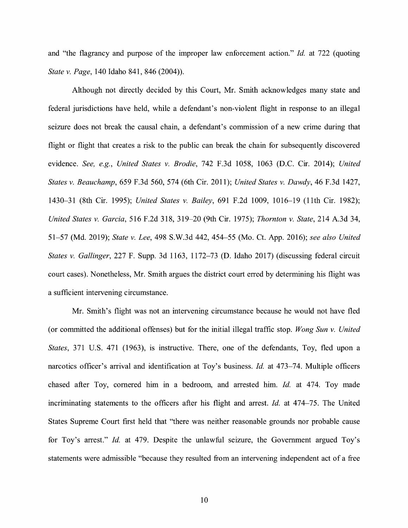and "the flagrancy and purpose of the improper law enforcement action." *Id.* at 722 (quoting *State v. Page,* 140 Idaho 841, 846 (2004) ).

Although not directly decided by this Court, Mr. Smith acknowledges many state and federal jurisdictions have held, while a defendant's non-violent flight in response to an illegal seizure does not break the causal chain, a defendant's commission of a new crime during that flight or flight that creates a risk to the public can break the chain for subsequently discovered evidence. *See, e.g., United States v. Brodie,* 742 F.3d 1058, 1063 (D.C. Cir. 2014); *United States v. Beauchamp,* 659 F.3d 560, 574 (6th Cir. 2011); *United States v. Dawdy,* 46 F.3d 1427, 1430-31 (8th Cir. 1995); *United States v. Bailey,* 691 F.2d 1009, 1016-19 (11th Cir. 1982); *United States v. Garcia,* 516 F.2d 318, 319-20 (9th Cir. 1975); *Thornton v. State,* 214 A.3d 34, 51-57 (Md. 2019); *State v. Lee,* 498 S.W.3d 442, 454-55 (Mo. Ct. App. 2016); *see also United States v. Gallinger,* 227 F. Supp. 3d 1163, 1172-73 (D. Idaho 2017) (discussing federal circuit court cases). Nonetheless, Mr. Smith argues the district court erred by determining his flight was a sufficient intervening circumstance.

Mr. Smith's flight was not an intervening circumstance because he would not have fled (or committed the additional offenses) but for the initial illegal traffic stop. *Wong Sun v. United States,* 371 U.S. 471 (1963), is instructive. There, one of the defendants, Toy, fled upon a narcotics officer's arrival and identification at Toy's business. *Id.* at 473-74. Multiple officers chased after Toy, cornered him in a bedroom, and arrested him. *Id.* at 474. Toy made incriminating statements to the officers after his flight and arrest. *Id.* at 474-75. The United States Supreme Court first held that "there was neither reasonable grounds nor probable cause for Toy's arrest." *Id.* at 479. Despite the unlawful seizure, the Government argued Toy's statements were admissible "because they resulted from an intervening independent act of a free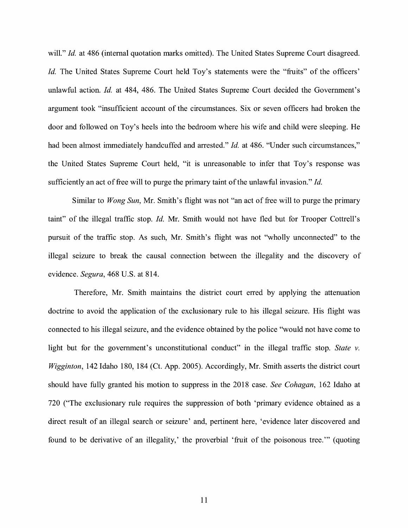will." *Id.* at 486 (internal quotation marks omitted). The United States Supreme Court disagreed. *Id.* The United States Supreme Court held Toy's statements were the "fruits" of the officers' unlawful action. *Id.* at 484, 486. The United States Supreme Court decided the Government's argument took "insufficient account of the circumstances. Six or seven officers had broken the door and followed on Toy's heels into the bedroom where his wife and child were sleeping. He had been almost immediately handcuffed and arrested." *Id.* at 486. "Under such circumstances," the United States Supreme Court held, "it is unreasonable to infer that Toy's response was sufficiently an act of free will to purge the primary taint of the unlawful invasion." *Id.* 

Similar to *Wong Sun,* Mr. Smith's flight was not "an act of free will to purge the primary taint" of the illegal traffic stop. *Id.* Mr. Smith would not have fled but for Trooper Cottrell's pursuit of the traffic stop. As such, Mr. Smith's flight was not "wholly unconnected" to the illegal seizure to break the causal connection between the illegality and the discovery of evidence. *Segura,* 468 U.S. at 814.

Therefore, Mr. Smith maintains the district court erred by applying the attenuation doctrine to avoid the application of the exclusionary rule to his illegal seizure. His flight was connected to his illegal seizure, and the evidence obtained by the police "would not have come to light but for the government's unconstitutional conduct" in the illegal traffic stop. State v. *Wigginton,* 142 Idaho 180, 184 (Ct. App. 2005). Accordingly, Mr. Smith asserts the district court should have fully granted his motion to suppress in the 2018 case. *See Cohagan,* 162 Idaho at 720 ("The exclusionary rule requires the suppression of both 'primary evidence obtained as a direct result of an illegal search or seizure' and, pertinent here, 'evidence later discovered and found to be derivative of an illegality,' the proverbial 'fruit of the poisonous tree."' (quoting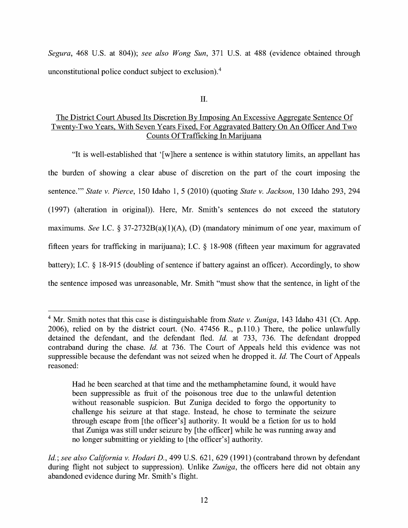*Segura,* 468 U.S. at 804)); *see also Wong Sun,* 371 U.S. at 488 (evidence obtained through unconstitutional police conduct subject to exclusion).<sup>4</sup>

II.

## The District Court Abused Its Discretion By Imposing An Excessive Aggregate Sentence Of Twenty-Two Years, With Seven Years Fixed, For Aggravated Battery On An Officer And Two Counts Of Trafficking In Marijuana

"It is well-established that ' [ w ]here a sentence is within statutory limits, an appellant has the burden of showing a clear abuse of discretion on the part of the court imposing the sentence."' *State v. Pierce,* 150 Idaho 1, 5 (2010) (quoting *State v. Jackson,* 130 Idaho 293, 294 (1997) (alteration in original)). Here, Mr. Smith's sentences do not exceed the statutory maximums. *See I.C.* § 37-2732B(a)(1)(A), (D) (mandatory minimum of one year, maximum of fifteen years for trafficking in marijuana); LC. § 18-908 (fifteen year maximum for aggravated battery); I.C.  $\S$  18-915 (doubling of sentence if battery against an officer). Accordingly, to show the sentence imposed was unreasonable, Mr. Smith "must show that the sentence, in light of the

<sup>&</sup>lt;sup>4</sup> Mr. Smith notes that this case is distinguishable from *State v. Zuniga*, 143 Idaho 431 (Ct. App. 2006), relied on by the district court. (No. 47456 R., p.110.) There, the police unlawfully detained the defendant, and the defendant fled. *Id.* at 733, 736. The defendant dropped contraband during the chase. *Id.* at 736. The Court of Appeals held this evidence was not suppressible because the defendant was not seized when he dropped it. *Id.* The Court of Appeals reasoned:

Had he been searched at that time and the methamphetamine found, it would have been suppressible as fruit of the poisonous tree due to the unlawful detention without reasonable suspicion. But Zuniga decided to forgo the opportunity to challenge his seizure at that stage. Instead, he chose to terminate the seizure through escape from [the officer's] authority. It would be a fiction for us to hold that Zuniga was still under seizure by [the officer] while he was running away and no longer submitting or yielding to [the officer's] authority.

*Id.; see also California v. Hodari D.,* 499 U.S. 621, 629 (1991) (contraband thrown by defendant during flight not subject to suppression). Unlike *Zuniga,* the officers here did not obtain any abandoned evidence during Mr. Smith's flight.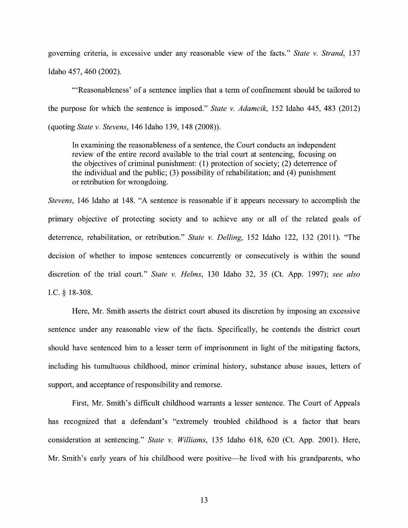governing criteria, is excessive under any reasonable view of the facts." *State v. Strand*, 137 Idaho 457, 460 (2002).

"'Reasonableness' of a sentence implies that a term of confinement should be tailored to the purpose for which the sentence is imposed." *State v. Adamcik,* 152 Idaho 445, 483 (2012) (quoting *State v. Stevens,* 146 Idaho 139, 148 (2008)).

In examining the reasonableness of a sentence, the Court conducts an independent review of the entire record available to the trial court at sentencing, focusing on the objectives of criminal punishment: (1) protection of society; (2) deterrence of the individual and the public;  $(3)$  possibility of rehabilitation; and  $(4)$  punishment or retribution for wrongdoing.

*Stevens,* 146 Idaho at 148. "A sentence is reasonable if it appears necessary to accomplish the primary objective of protecting society and to achieve any or all of the related goals of deterrence, rehabilitation, or retribution." *State v. Delling,* 152 Idaho 122, 132 (2011). "The decision of whether to impose sentences concurrently or consecutively is within the sound discretion of the trial court." *State v. Helms,* 130 Idaho 32, 35 (Ct. App. 1997); *see also*  I.C. § 18-308.

Here, Mr. Smith asserts the district court abused its discretion by imposing an excessive sentence under any reasonable view of the facts. Specifically, he contends the district court should have sentenced him to a lesser term of imprisonment in light of the mitigating factors, including his tumultuous childhood, minor criminal history, substance abuse issues, letters of support, and acceptance of responsibility and remorse.

First, Mr. Smith's difficult childhood warrants a lesser sentence. The Court of Appeals has recognized that a defendant's "extremely troubled childhood is a factor that bears consideration at sentencing." *State v. Williams,* 135 Idaho 618, 620 (Ct. App. 2001). Here, Mr. Smith's early years of his childhood were positive—he lived with his grandparents, who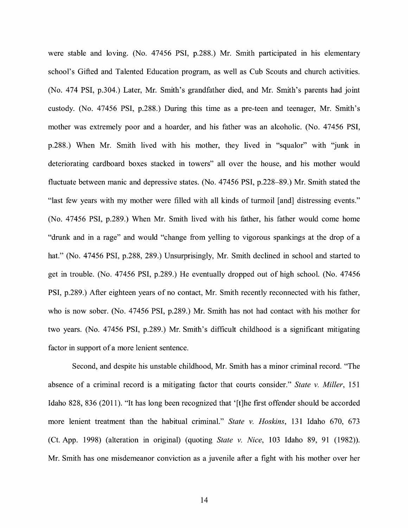were stable and loving. (No. 47456 PSI, p.288.) Mr. Smith participated in his elementary school's Gifted and Talented Education program, as well as Cub Scouts and church activities. (No. 474 PSI, p.304.) Later, Mr. Smith's grandfather died, and Mr. Smith's parents had joint custody. (No. 47456 PSI, p.288.) During this time as a pre-teen and teenager, Mr. Smith's mother was extremely poor and a hoarder, and his father was an alcoholic. (No. 47456 PSI, p.288.) When Mr. Smith lived with his mother, they lived in "squalor" with "junk in deteriorating cardboard boxes stacked in towers" all over the house, and his mother would fluctuate between manic and depressive states. (No. 47456 PSI, p.228-89.) Mr. Smith stated the "last few years with my mother were filled with all kinds of turmoil [and] distressing events." (No. 47456 PSI, p.289.) When Mr. Smith lived with his father, his father would come home "drunk and in a rage" and would "change from yelling to vigorous spankings at the drop of a hat." (No. 47456 PSI, p.288, 289.) Unsurprisingly, Mr. Smith declined in school and started to get in trouble. (No. 47456 PSI, p.289.) He eventually dropped out of high school. (No. 47456 PSI, p.289.) After eighteen years of no contact, Mr. Smith recently reconnected with his father, who is now sober. (No. 47456 PSI, p.289.) Mr. Smith has not had contact with his mother for two years. (No. 47456 PSI, p.289.) Mr. Smith's difficult childhood is a significant mitigating factor in support of a more lenient sentence.

Second, and despite his unstable childhood, Mr. Smith has a minor criminal record. "The absence of a criminal record is a mitigating factor that courts consider." *State v. Miller,* 151 Idaho 828, 836 (2011). "It has long been recognized that '[t]he first offender should be accorded more lenient treatment than the habitual criminal." *State v. Hoskins,* 131 Idaho 670, 673 (Ct. App. 1998) (alteration in original) (quoting *State v. Nice,* 103 Idaho 89, 91 (1982)). Mr. Smith has one misdemeanor conviction as a juvenile after a fight with his mother over her

14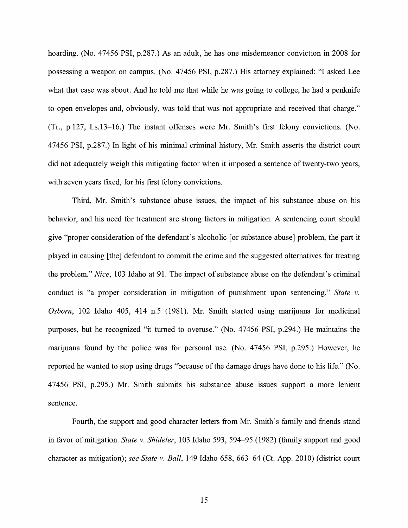hoarding. (No. 47456 PSI, p.287.) As an adult, he has one misdemeanor conviction in 2008 for possessing a weapon on campus. (No. 47456 PSI, p.287.) His attorney explained: "I asked Lee what that case was about. And he told me that while he was going to college, he had a penknife to open envelopes and, obviously, was told that was not appropriate and received that charge." (Tr., p.127, Ls.13-16.) The instant offenses were Mr. Smith's first felony convictions. (No. 47456 PSI, p.287.) In light of his minimal criminal history, Mr. Smith asserts the district court did not adequately weigh this mitigating factor when it imposed a sentence of twenty-two years, with seven years fixed, for his first felony convictions.

Third, Mr. Smith's substance abuse issues, the impact of his substance abuse on his behavior, and his need for treatment are strong factors in mitigation. A sentencing court should give "proper consideration of the defendant's alcoholic [or substance abuse] problem, the part it played in causing [the] defendant to commit the crime and the suggested alternatives for treating the problem." *Nice,* 103 Idaho at 91. The impact of substance abuse on the defendant's criminal conduct is "a proper consideration in mitigation of punishment upon sentencing." *State v. Osborn,* 102 Idaho 405, 414 n.5 (1981). Mr. Smith started using marijuana for medicinal purposes, but he recognized "it turned to overuse." (No. 47456 PSI, p.294.) He maintains the marijuana found by the police was for personal use. (No. 47456 PSI, p.295.) However, he reported he wanted to stop using drugs "because of the damage drugs have done to his life." (No. 47456 PSI, p.295.) Mr. Smith submits his substance abuse issues support a more lenient sentence.

Fourth, the support and good character letters from Mr. Smith's family and friends stand in favor of mitigation. *State v. Shideler,* 103 Idaho 593, 594-95 (1982) (family support and good character as mitigation); *see State v. Ball,* 149 Idaho 658, 663-64 (Ct. App. 2010) (district court

15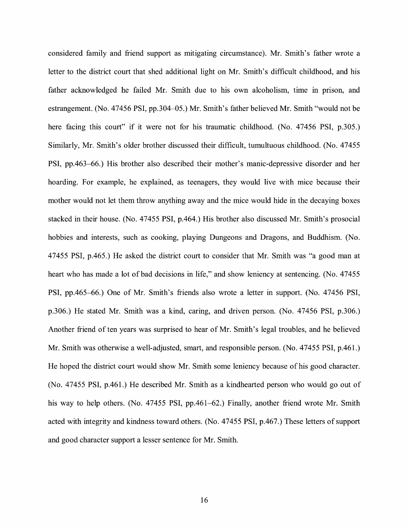considered family and friend support as mitigating circumstance). Mr. Smith's father wrote a letter to the district court that shed additional light on Mr. Smith's difficult childhood, and his father acknowledged he failed Mr. Smith due to his own alcoholism, time in prison, and estrangement. (No. 47456 PSI, pp.304-05.) Mr. Smith's father believed Mr. Smith "would not be here facing this court" if it were not for his traumatic childhood. (No. 47456 PSI, p.305.) Similarly, Mr. Smith's older brother discussed their difficult, tumultuous childhood. (No. 47455 PSI, pp.463-66.) His brother also described their mother's manic-depressive disorder and her hoarding. For example, he explained, as teenagers, they would live with mice because their mother would not let them throw anything away and the mice would hide in the decaying boxes stacked in their house. (No. 47455 PSI, p.464.) His brother also discussed Mr. Smith's prosocial hobbies and interests, such as cooking, playing Dungeons and Dragons, and Buddhism. (No. 47455 PSI, p.465.) He asked the district court to consider that Mr. Smith was "a good man at heart who has made a lot of bad decisions in life," and show leniency at sentencing. (No. 47455) PSI, pp.465-66.) One of Mr. Smith's friends also wrote a letter in support. (No. 47456 PSI, p.306.) He stated Mr. Smith was a kind, caring, and driven person. (No. 47456 PSI, p.306.) Another friend of ten years was surprised to hear of Mr. Smith's legal troubles, and he believed Mr. Smith was otherwise a well-adjusted, smart, and responsible person. (No. 47455 PSI, p.461.) He hoped the district court would show Mr. Smith some leniency because of his good character. (No. 47455 PSI, p.461.) He described Mr. Smith as a kindhearted person who would go out of his way to help others. (No. 47455 PSI, pp.461–62.) Finally, another friend wrote Mr. Smith acted with integrity and kindness toward others. (No. 47455 PSI, p.467.) These letters of support and good character support a lesser sentence for Mr. Smith.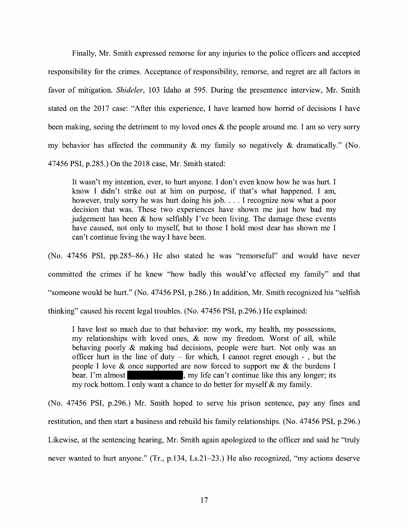Finally, Mr. Smith expressed remorse for any injuries to the police officers and accepted responsibility for the crimes. Acceptance of responsibility, remorse, and regret are all factors in favor of mitigation. *Shideler,* 103 Idaho at 595. During the presentence interview, Mr. Smith stated on the 2017 case: "After this experience, I have learned how horrid of decisions I have been making, seeing the detriment to my loved ones & the people around me. I am so very sorry my behavior has affected the community  $\&$  my family so negatively  $\&$  dramatically." (No. 47456 PSI, p.285.) On the 2018 case, Mr. Smith stated:

It wasn't my intention, ever, to hurt anyone. I don't even know how he was hurt. I know I didn't strike out at him on purpose, if that's what happened. I am, however, truly sorry he was hurt doing his job. . . . I recognize now what a poor decision that was. These two experiences have shown me just how bad my judgement has been & how selfishly I've been living. The damage these events have caused, not only to myself, but to those I hold most dear has shown me I can't continue living the way I have been.

(No. 47456 PSI, pp.285-86.) He also stated he was "remorseful" and would have never committed the crimes if he knew "how badly this would've affected my family" and that "someone would be hurt." (No. 47456 PSI, p.286.) In addition, Mr. Smith recognized his "selfish thinking" caused his recent legal troubles. (No. 47456 PSI, p.296.) He explained:

I have lost so much due to that behavior: my work, my health, my possessions, my relationships with loved ones, & now my freedom. Worst of all, while behaving poorly & making bad decisions, people were hurt. Not only was an officer hurt in the line of duty  $-$  for which, I cannot regret enough  $-$ , but the people I love  $\&$  once supported are now forced to support me  $\&$  the burdens I bear. I'm almost my rock bottom. I only want a chance to do better for myself  $\&$  my family.

(No. 47456 PSI, p.296.) Mr. Smith hoped to serve his prison sentence, pay any fines and restitution, and then start a business and rebuild his family relationships. (No. 47456 PSI, p.296.) Likewise, at the sentencing hearing, Mr. Smith again apologized to the officer and said he "truly never wanted to hurt anyone." (Tr., p.134, Ls.21-23.) He also recognized, "my actions deserve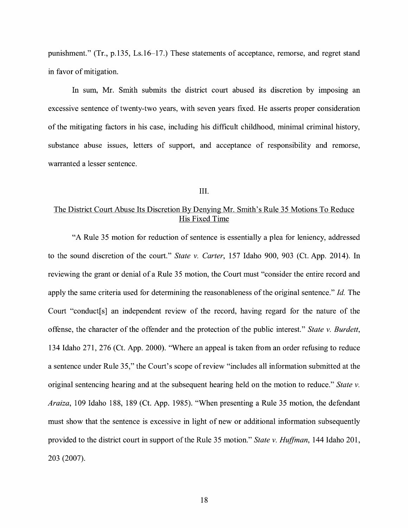punishment." (Tr., p.135, Ls.16-17.) These statements of acceptance, remorse, and regret stand in favor of mitigation.

In sum, Mr. Smith submits the district court abused its discretion by imposing an excessive sentence of twenty-two years, with seven years fixed. He asserts proper consideration of the mitigating factors in his case, including his difficult childhood, minimal criminal history, substance abuse issues, letters of support, and acceptance of responsibility and remorse, warranted a lesser sentence.

#### III.

## The District Court Abuse Its Discretion By Denying Mr. Smith's Rule 35 Motions To Reduce His Fixed Time

"A Rule 35 motion for reduction of sentence is essentially a plea for leniency, addressed to the sound discretion of the court." *State v. Carter,* 157 Idaho 900, 903 (Ct. App. 2014). In reviewing the grant or denial of a Rule 35 motion, the Court must "consider the entire record and apply the same criteria used for determining the reasonableness of the original sentence." *Id.* The Court "conduct[s] an independent review of the record, having regard for the nature of the offense, the character of the offender and the protection of the public interest." *State v. Burdett,*  134 Idaho 271, 276 (Ct. App. 2000). "Where an appeal is taken from an order refusing to reduce a sentence under Rule 35," the Court's scope of review "includes all information submitted at the original sentencing hearing and at the subsequent hearing held on the motion to reduce." *State v. Araiza,* 109 Idaho 188, 189 (Ct. App. 1985). "When presenting a Rule 35 motion, the defendant must show that the sentence is excessive in light of new or additional information subsequently provided to the district court in support of the Rule 35 motion." *State v. Huffman*, 144 Idaho 201, 203 (2007).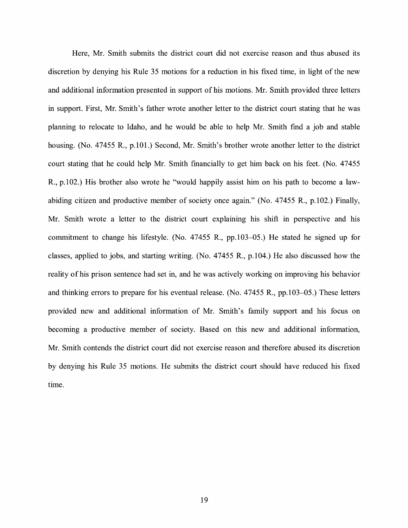Here, Mr. Smith submits the district court did not exercise reason and thus abused its discretion by denying his Rule 35 motions for a reduction in his fixed time, in light of the new and additional information presented in support of his motions. Mr. Smith provided three letters in support. First, Mr. Smith's father wrote another letter to the district court stating that he was planning to relocate to Idaho, and he would be able to help Mr. Smith find a job and stable housing. (No. 47455 R., p.101.) Second, Mr. Smith's brother wrote another letter to the district court stating that he could help Mr. Smith financially to get him back on his feet. (No. 47455 R., p.102.) His brother also wrote he ''would happily assist him on his path to become a lawabiding citizen and productive member of society once again." (No. 47455 R., p.102.) Finally, Mr. Smith wrote a letter to the district court explaining his shift in perspective and his commitment to change his lifestyle. (No. 47455 R., pp.103-05.) He stated he signed up for classes, applied to jobs, and starting writing. (No. 47455 R., p.104.) He also discussed how the reality of his prison sentence had set in, and he was actively working on improving his behavior and thinking errors to prepare for his eventual release. (No. 47455 R., pp.103-05.) These letters provided new and additional information of Mr. Smith's family support and his focus on becoming a productive member of society. Based on this new and additional information, Mr. Smith contends the district court did not exercise reason and therefore abused its discretion by denying his Rule 35 motions. He submits the district court should have reduced his fixed time.